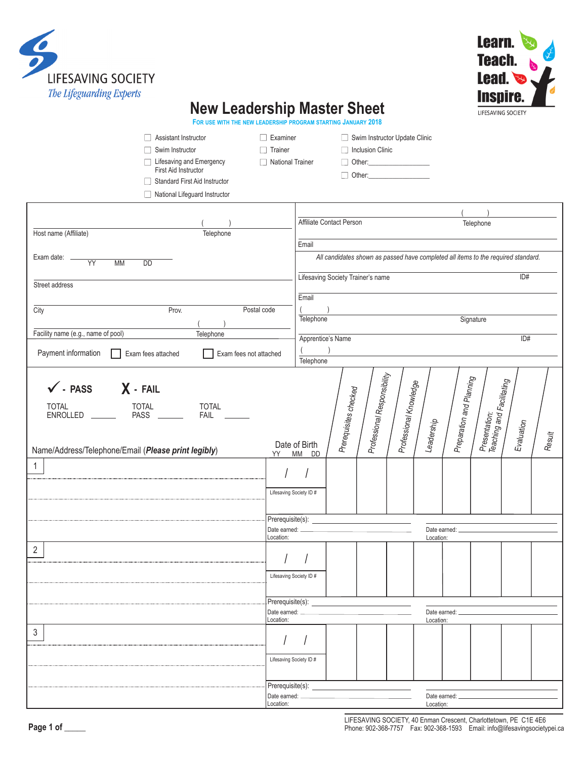



## **New Leadership Master Sheet**

**FOR USE WITH THE NEW LEADERSHIP PROGRAM STARTING JANUARY 2018**

| Assistant Instructor<br>Swim Instructor<br>Lifesaving and Emergency<br>First Aid Instructor<br>Standard First Aid Instructor<br>National Lifeguard Instructor              | $\Box$ Examiner<br>$\Box$ Trainer<br>□ National Trainer |                                                   |                                                                                   | Swim Instructor Update Clinic<br>Inclusion Clinic<br>Other: <b>Communication</b> |                           |            |                                              |                                              |            |        |  |
|----------------------------------------------------------------------------------------------------------------------------------------------------------------------------|---------------------------------------------------------|---------------------------------------------------|-----------------------------------------------------------------------------------|----------------------------------------------------------------------------------|---------------------------|------------|----------------------------------------------|----------------------------------------------|------------|--------|--|
|                                                                                                                                                                            |                                                         |                                                   |                                                                                   |                                                                                  |                           |            |                                              |                                              |            |        |  |
|                                                                                                                                                                            |                                                         |                                                   | Affiliate Contact Person                                                          |                                                                                  |                           |            |                                              | Telephone                                    |            |        |  |
| Host name (Affiliate)<br>Telephone                                                                                                                                         |                                                         |                                                   |                                                                                   |                                                                                  |                           |            |                                              |                                              |            |        |  |
|                                                                                                                                                                            |                                                         | Email                                             |                                                                                   |                                                                                  |                           |            |                                              |                                              |            |        |  |
| Exam date: _<br>$\overline{YY}$<br><b>MM</b><br><b>DD</b>                                                                                                                  |                                                         |                                                   | All candidates shown as passed have completed all items to the required standard. |                                                                                  |                           |            |                                              |                                              |            |        |  |
|                                                                                                                                                                            |                                                         |                                                   | Lifesaving Society Trainer's name                                                 |                                                                                  |                           |            |                                              |                                              | ID#        |        |  |
| Street address                                                                                                                                                             |                                                         |                                                   |                                                                                   |                                                                                  |                           |            |                                              |                                              |            |        |  |
|                                                                                                                                                                            |                                                         | Email                                             |                                                                                   |                                                                                  |                           |            |                                              |                                              |            |        |  |
| Prov.<br>City<br>Postal code                                                                                                                                               |                                                         |                                                   |                                                                                   |                                                                                  |                           |            |                                              | Signature                                    |            |        |  |
| Facility name (e.g., name of pool)<br>Telephone                                                                                                                            |                                                         | Telephone                                         |                                                                                   |                                                                                  |                           |            |                                              |                                              |            |        |  |
|                                                                                                                                                                            |                                                         | Apprentice's Name                                 |                                                                                   |                                                                                  |                           |            | ID#                                          |                                              |            |        |  |
| Payment information<br>Exam fees attached<br>Exam fees not attached                                                                                                        |                                                         | Telephone                                         |                                                                                   |                                                                                  |                           |            |                                              |                                              |            |        |  |
| $\checkmark$ - PASS $\checkmark$ - FAIL<br><b>TOTAL</b><br><b>TOTAL</b><br><b>TOTAL</b><br>ENROLLED<br>FAIL __<br>Name/Address/Telephone/Email (Please print legibly)<br>1 | YY                                                      | Date of Birth<br>MM DD<br>Lifesaving Society ID # | Prerequisites checked                                                             | Professional Responsibility                                                      | Professional Knowledge    | Leadership | Preparation and Planning<br>Date earned: ___ | Presentation:<br>  Teaching and Facilitating | Evaluation | Result |  |
|                                                                                                                                                                            | Location:                                               |                                                   |                                                                                   |                                                                                  |                           |            | Location:                                    |                                              |            |        |  |
| $\overline{2}$                                                                                                                                                             | $\left  \right $                                        |                                                   |                                                                                   |                                                                                  |                           |            |                                              |                                              |            |        |  |
|                                                                                                                                                                            |                                                         | Lifesaving Society ID#                            |                                                                                   |                                                                                  |                           |            |                                              |                                              |            |        |  |
|                                                                                                                                                                            | Prerequisite(s):<br>Date earned:                        |                                                   |                                                                                   |                                                                                  |                           |            |                                              |                                              |            |        |  |
|                                                                                                                                                                            | Location:                                               |                                                   |                                                                                   |                                                                                  | Date earned:<br>Location: |            |                                              |                                              |            |        |  |
| 3                                                                                                                                                                          |                                                         | Lifesaving Society ID #                           |                                                                                   |                                                                                  |                           |            |                                              |                                              |            |        |  |
|                                                                                                                                                                            | Prerequisite(s):                                        |                                                   |                                                                                   |                                                                                  |                           |            |                                              |                                              |            |        |  |
|                                                                                                                                                                            | Date earned:<br>Date earned:                            |                                                   |                                                                                   |                                                                                  |                           |            |                                              |                                              |            |        |  |
|                                                                                                                                                                            | Location:                                               | Location:                                         |                                                                                   |                                                                                  |                           |            |                                              |                                              |            |        |  |